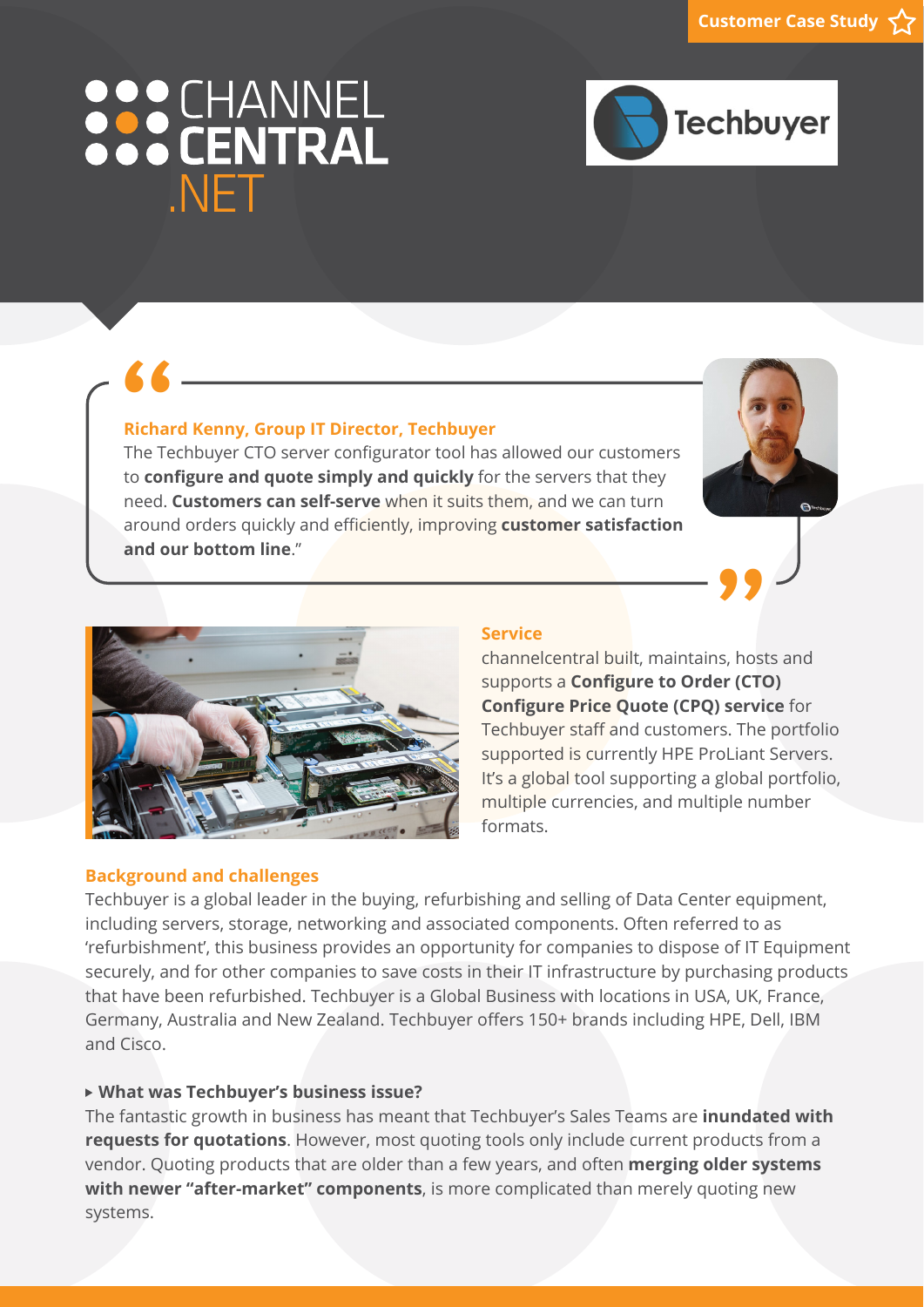# 888 CHANNEL NET



# **Richard Kenny, Group IT Director, Techbuyer**

**6 6 - Configurer CTO Server Configurator tool has allowed our customers The Techbuyer CTO server configurator tool has allowed our customers** to **configure and quote simply and quickly** for the servers that they need. **Customers can self-serve** when it suits them, and we can turn around orders quickly and efficiently, improving **customer satisfaction and our bottom line**."





## **Background and challenges**

#### **Service**

channelcentral built, maintains, hosts and supports a **Configure to Order (CTO) Configure Price Quote (CPQ) service** for Techbuyer staff and customers. The portfolio supported is currently HPE ProLiant Servers. It's a global tool supporting a global portfolio, multiple currencies, and multiple number formats.

Techbuyer is a global leader in the buying, refurbishing and selling of Data Center equipment, including servers, storage, networking and associated components. Often referred to as 'refurbishment', this business provides an opportunity for companies to dispose of IT Equipment securely, and for other companies to save costs in their IT infrastructure by purchasing products that have been refurbished. Techbuyer is a Global Business with locations in USA, UK, France, Germany, Australia and New Zealand. Techbuyer offers 150+ brands including HPE, Dell, IBM and Cisco.

# **What was Techbuyer's business issue?**

The fantastic growth in business has meant that Techbuyer's Sales Teams are **inundated with requests for quotations**. However, most quoting tools only include current products from a vendor. Quoting products that are older than a few years, and often **merging older systems with newer "after-market" components**, is more complicated than merely quoting new systems.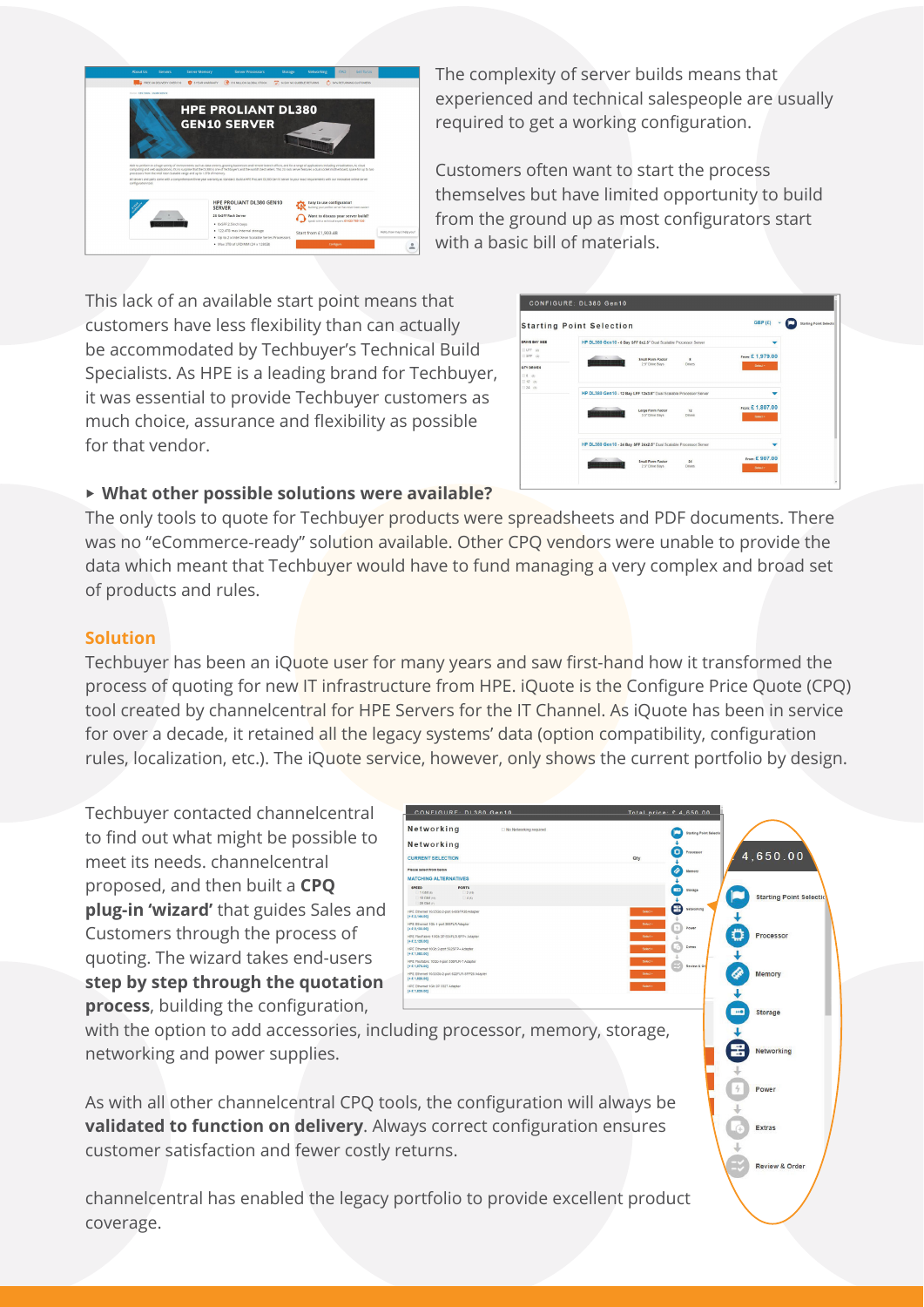

The complexity of server builds means that experienced and technical salespeople are usually required to get a working configuration.

Customers often want to start the process themselves but have limited opportunity to build from the ground up as most configurators start with a basic bill of materials.

This lack of an available start point means that customers have less flexibility than can actually be accommodated by Techbuyer's Technical Build Specialists. As HPE is a leading brand for Techbuyer, it was essential to provide Techbuyer customers as much choice, assurance and flexibility as possible for that vendor.

|                                            | <b>Starting Point Selection</b>                                                                          |                              |
|--------------------------------------------|----------------------------------------------------------------------------------------------------------|------------------------------|
| DRIVE BAY SIZE                             | HP DL380 Gen10 - 8 Bay SFF 8x2.5" Dual Scalable Processor Server                                         |                              |
| ELFE 09<br>$ESFF$ $Q$<br><b>QTY DRIVES</b> | $\sim$ $\sim$<br>$\mathbf{a}$<br><b><i>Small Form Factor</i></b><br>,,,,,,,<br>2.5" Drive Bays<br>Drives | From: £ 1,979.00<br>Select » |
| $\Box$ 0 $\Box$<br>□ 12 (6)<br>$124$ co    | HP DL380 Gen10 - 12 Bay LFF 12x3.5" Dual Scalable Processor Server                                       |                              |
|                                            | 12<br>Large Form Factor<br><b>TALENTS</b><br>3.5" Drive Bays<br><b>Drives</b>                            | From: £ 1,807.00<br>Seect >  |
|                                            | HP DL380 Gen10 - 24 Bay SFF 24x2.5" Dual Scalable Processor Server                                       |                              |
|                                            | <b>State</b><br><b>Small Form Factor</b><br>24<br><b>SHOTTERED</b>                                       | From: £ 907.00               |

# **What other possible solutions were available?**

The only tools to quote for Techbuyer products were spreadsheets and PDF documents. There was no "eCommerce-ready" solution available. Other CPQ vendors were unable to provide the data which meant that Techbuyer would have to fund managing a very complex and broad set of products and rules.

## **Solution**

Techbuyer has been an iQuote user for many years and saw first-hand how it transformed the process of quoting for new IT infrastructure from HPE. iQuote is the Configure Price Quote (CPQ) tool created by channelcentral for HPE Servers for the IT Channel. As iQuote has been in service for over a decade, it retained all the legacy systems' data (option compatibility, configuration rules, localization, etc.). The iQuote service, however, only shows the current portfolio by design.

Techbuyer contacted channelcentral to find out what might be possible to meet its needs. channelcentral proposed, and then built a **CPQ plug-in 'wizard'** that guides Sales and Customers through the process of quoting. The wizard takes end-users **step by step through the quotation process**, building the configuration,



Review & Order

with the option to add accessories, including processor, memory, storage, networking and power supplies.

As with all other channelcentral CPQ tools, the configuration will always be **validated to function on delivery**. Always correct configuration ensures customer satisfaction and fewer costly returns.

channelcentral has enabled the legacy portfolio to provide excellent product coverage.